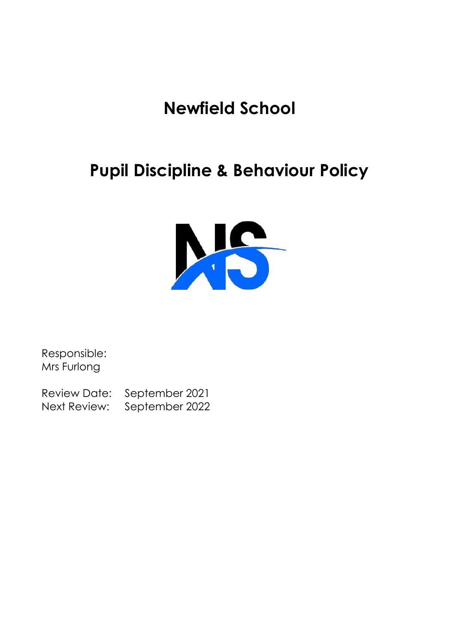# **Newfield School**

# **Pupil Discipline & Behaviour Policy**



Responsible: Mrs Furlong

Review Date: September 2021 Next Review: September 2022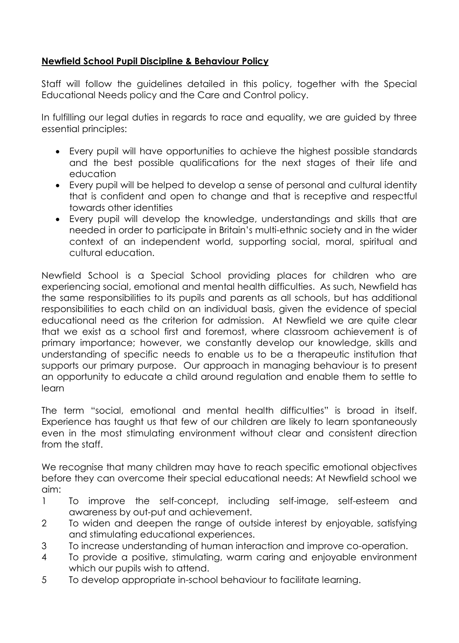## **Newfield School Pupil Discipline & Behaviour Policy**

Staff will follow the guidelines detailed in this policy, together with the Special Educational Needs policy and the Care and Control policy.

In fulfilling our legal duties in regards to race and equality, we are guided by three essential principles:

- Every pupil will have opportunities to achieve the highest possible standards and the best possible qualifications for the next stages of their life and education
- Every pupil will be helped to develop a sense of personal and cultural identity that is confident and open to change and that is receptive and respectful towards other identities
- Every pupil will develop the knowledge, understandings and skills that are needed in order to participate in Britain's multi-ethnic society and in the wider context of an independent world, supporting social, moral, spiritual and cultural education.

Newfield School is a Special School providing places for children who are experiencing social, emotional and mental health difficulties. As such, Newfield has the same responsibilities to its pupils and parents as all schools, but has additional responsibilities to each child on an individual basis, given the evidence of special educational need as the criterion for admission. At Newfield we are quite clear that we exist as a school first and foremost, where classroom achievement is of primary importance; however, we constantly develop our knowledge, skills and understanding of specific needs to enable us to be a therapeutic institution that supports our primary purpose. Our approach in managing behaviour is to present an opportunity to educate a child around regulation and enable them to settle to learn

The term "social, emotional and mental health difficulties" is broad in itself. Experience has taught us that few of our children are likely to learn spontaneously even in the most stimulating environment without clear and consistent direction from the staff.

We recognise that many children may have to reach specific emotional objectives before they can overcome their special educational needs: At Newfield school we aim:

- 1 To improve the self-concept, including self-image, self-esteem and awareness by out-put and achievement.
- 2 To widen and deepen the range of outside interest by enjoyable, satisfying and stimulating educational experiences.
- 3 To increase understanding of human interaction and improve co-operation.
- 4 To provide a positive, stimulating, warm caring and enjoyable environment which our pupils wish to attend.
- 5 To develop appropriate in-school behaviour to facilitate learning.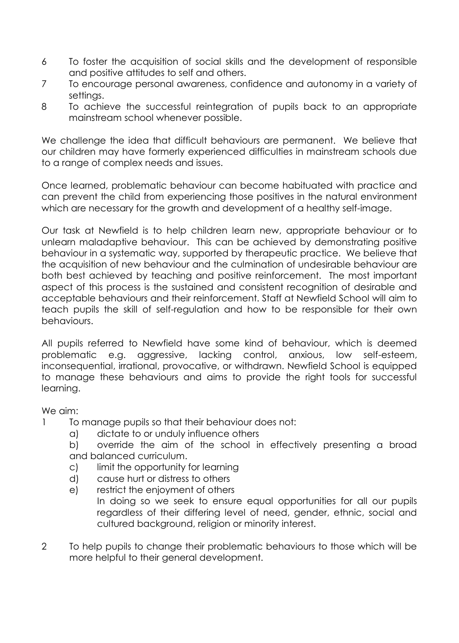- 6 To foster the acquisition of social skills and the development of responsible and positive attitudes to self and others.
- 7 To encourage personal awareness, confidence and autonomy in a variety of settings.
- 8 To achieve the successful reintegration of pupils back to an appropriate mainstream school whenever possible.

We challenge the idea that difficult behaviours are permanent. We believe that our children may have formerly experienced difficulties in mainstream schools due to a range of complex needs and issues.

Once learned, problematic behaviour can become habituated with practice and can prevent the child from experiencing those positives in the natural environment which are necessary for the growth and development of a healthy self-image.

Our task at Newfield is to help children learn new, appropriate behaviour or to unlearn maladaptive behaviour. This can be achieved by demonstrating positive behaviour in a systematic way, supported by therapeutic practice. We believe that the acquisition of new behaviour and the culmination of undesirable behaviour are both best achieved by teaching and positive reinforcement. The most important aspect of this process is the sustained and consistent recognition of desirable and acceptable behaviours and their reinforcement. Staff at Newfield School will aim to teach pupils the skill of self-regulation and how to be responsible for their own behaviours.

All pupils referred to Newfield have some kind of behaviour, which is deemed problematic e.g. aggressive, lacking control, anxious, low self-esteem, inconsequential, irrational, provocative, or withdrawn. Newfield School is equipped to manage these behaviours and aims to provide the right tools for successful learning.

## We aim:

- 1 To manage pupils so that their behaviour does not:
	- a) dictate to or unduly influence others
	- b) override the aim of the school in effectively presenting a broad and balanced curriculum.
	- c) limit the opportunity for learning
	- d) cause hurt or distress to others
	- e) restrict the enjoyment of others
		- In doing so we seek to ensure equal opportunities for all our pupils regardless of their differing level of need, gender, ethnic, social and cultured background, religion or minority interest.
- 2 To help pupils to change their problematic behaviours to those which will be more helpful to their general development.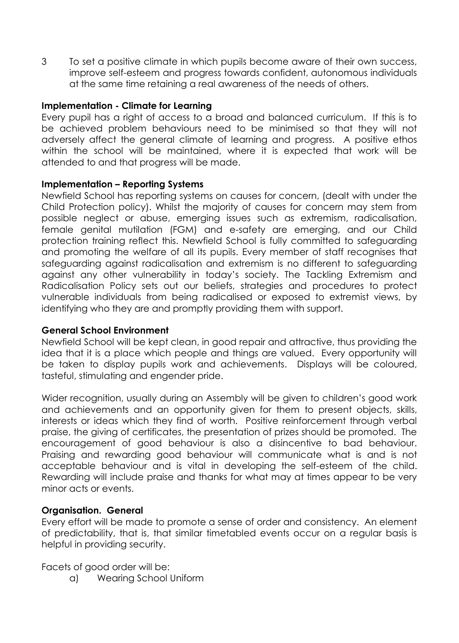3 To set a positive climate in which pupils become aware of their own success, improve self-esteem and progress towards confident, autonomous individuals at the same time retaining a real awareness of the needs of others.

#### **Implementation - Climate for Learning**

Every pupil has a right of access to a broad and balanced curriculum. If this is to be achieved problem behaviours need to be minimised so that they will not adversely affect the general climate of learning and progress. A positive ethos within the school will be maintained, where it is expected that work will be attended to and that progress will be made.

#### **Implementation – Reporting Systems**

Newfield School has reporting systems on causes for concern, (dealt with under the Child Protection policy). Whilst the majority of causes for concern may stem from possible neglect or abuse, emerging issues such as extremism, radicalisation, female genital mutilation (FGM) and e-safety are emerging, and our Child protection training reflect this. Newfield School is fully committed to safeguarding and promoting the welfare of all its pupils. Every member of staff recognises that safeguarding against radicalisation and extremism is no different to safeguarding against any other vulnerability in today's society. The Tackling Extremism and Radicalisation Policy sets out our beliefs, strategies and procedures to protect vulnerable individuals from being radicalised or exposed to extremist views, by identifying who they are and promptly providing them with support.

#### **General School Environment**

Newfield School will be kept clean, in good repair and attractive, thus providing the idea that it is a place which people and things are valued. Every opportunity will be taken to display pupils work and achievements. Displays will be coloured, tasteful, stimulating and engender pride.

Wider recognition, usually during an Assembly will be given to children's good work and achievements and an opportunity given for them to present objects, skills, interests or ideas which they find of worth. Positive reinforcement through verbal praise, the giving of certificates, the presentation of prizes should be promoted. The encouragement of good behaviour is also a disincentive to bad behaviour. Praising and rewarding good behaviour will communicate what is and is not acceptable behaviour and is vital in developing the self-esteem of the child. Rewarding will include praise and thanks for what may at times appear to be very minor acts or events.

## **Organisation. General**

Every effort will be made to promote a sense of order and consistency. An element of predictability, that is, that similar timetabled events occur on a regular basis is helpful in providing security.

Facets of good order will be:

a) Wearing School Uniform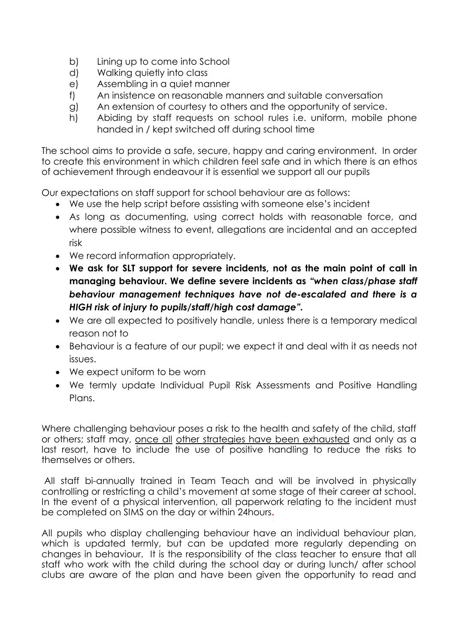- b) Lining up to come into School
- d) Walking quietly into class
- e) Assembling in a quiet manner
- f) An insistence on reasonable manners and suitable conversation
- g) An extension of courtesy to others and the opportunity of service.
- h) Abiding by staff requests on school rules i.e. uniform, mobile phone handed in / kept switched off during school time

The school aims to provide a safe, secure, happy and caring environment. In order to create this environment in which children feel safe and in which there is an ethos of achievement through endeavour it is essential we support all our pupils

Our expectations on staff support for school behaviour are as follows:

- We use the help script before assisting with someone else's incident
- As long as documenting, using correct holds with reasonable force, and where possible witness to event, allegations are incidental and an accepted risk
- We record information appropriately.
- **We ask for SLT support for severe incidents, not as the main point of call in managing behaviour. We define severe incidents as** *"when class/phase staff behaviour management techniques have not de-escalated and there is a HIGH risk of injury to pupils/staff/high cost damage".*
- We are all expected to positively handle, unless there is a temporary medical reason not to
- Behaviour is a feature of our pupil; we expect it and deal with it as needs not issues.
- We expect uniform to be worn
- We termly update Individual Pupil Risk Assessments and Positive Handling Plans.

Where challenging behaviour poses a risk to the health and safety of the child, staff or others; staff may, once all other strategies have been exhausted and only as a last resort, have to include the use of positive handling to reduce the risks to themselves or others.

All staff bi-annually trained in Team Teach and will be involved in physically controlling or restricting a child's movement at some stage of their career at school. In the event of a physical intervention, all paperwork relating to the incident must be completed on SIMS on the day or within 24hours**.** 

All pupils who display challenging behaviour have an individual behaviour plan, which is updated termly, but can be updated more regularly depending on changes in behaviour. It is the responsibility of the class teacher to ensure that all staff who work with the child during the school day or during lunch/ after school clubs are aware of the plan and have been given the opportunity to read and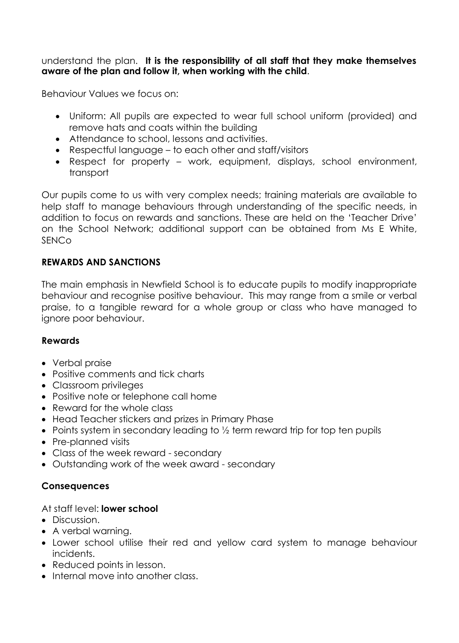#### understand the plan. **It is the responsibility of all staff that they make themselves aware of the plan and follow it, when working with the child**.

Behaviour Values we focus on:

- Uniform: All pupils are expected to wear full school uniform (provided) and remove hats and coats within the building
- Attendance to school, lessons and activities.
- Respectful language to each other and staff/visitors
- Respect for property work, equipment, displays, school environment, transport

Our pupils come to us with very complex needs; training materials are available to help staff to manage behaviours through understanding of the specific needs, in addition to focus on rewards and sanctions. These are held on the 'Teacher Drive' on the School Network; additional support can be obtained from Ms E White, SENCo

# **REWARDS AND SANCTIONS**

The main emphasis in Newfield School is to educate pupils to modify inappropriate behaviour and recognise positive behaviour. This may range from a smile or verbal praise, to a tangible reward for a whole group or class who have managed to ignore poor behaviour.

# **Rewards**

- Verbal praise
- Positive comments and tick charts
- Classroom privileges
- Positive note or telephone call home
- Reward for the whole class
- Head Teacher stickers and prizes in Primary Phase
- Points system in secondary leading to  $\frac{1}{2}$  term reward trip for top ten pupils
- Pre-planned visits
- Class of the week reward secondary
- Outstanding work of the week award secondary

# **Consequences**

## At staff level: **lower school**

- Discussion.
- A verbal warning.
- Lower school utilise their red and yellow card system to manage behaviour incidents.
- Reduced points in lesson.
- Internal move into another class.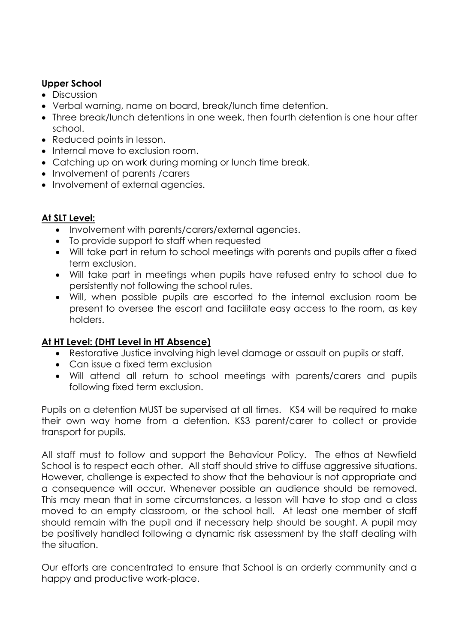## **Upper School**

- Discussion
- Verbal warning, name on board, break/lunch time detention.
- Three break/lunch detentions in one week, then fourth detention is one hour after school.
- Reduced points in lesson.
- Internal move to exclusion room.
- Catching up on work during morning or lunch time break.
- Involvement of parents / carers
- Involvement of external agencies.

# **At SLT Level:**

- Involvement with parents/carers/external agencies.
- To provide support to staff when requested
- Will take part in return to school meetings with parents and pupils after a fixed term exclusion.
- Will take part in meetings when pupils have refused entry to school due to persistently not following the school rules.
- Will, when possible pupils are escorted to the internal exclusion room be present to oversee the escort and facilitate easy access to the room, as key holders.

# **At HT Level: (DHT Level in HT Absence)**

- Restorative Justice involving high level damage or assault on pupils or staff.
- Can issue a fixed term exclusion
- Will attend all return to school meetings with parents/carers and pupils following fixed term exclusion.

Pupils on a detention MUST be supervised at all times. KS4 will be required to make their own way home from a detention. KS3 parent/carer to collect or provide transport for pupils.

All staff must to follow and support the Behaviour Policy. The ethos at Newfield School is to respect each other. All staff should strive to diffuse aggressive situations. However, challenge is expected to show that the behaviour is not appropriate and a consequence will occur. Whenever possible an audience should be removed. This may mean that in some circumstances, a lesson will have to stop and a class moved to an empty classroom, or the school hall. At least one member of staff should remain with the pupil and if necessary help should be sought. A pupil may be positively handled following a dynamic risk assessment by the staff dealing with the situation.

Our efforts are concentrated to ensure that School is an orderly community and a happy and productive work-place.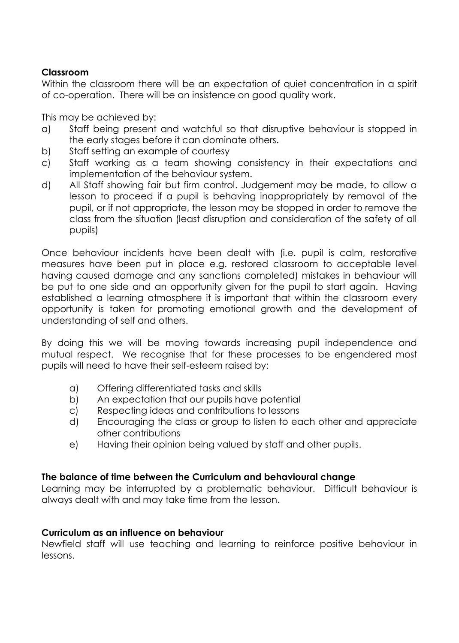## **Classroom**

Within the classroom there will be an expectation of quiet concentration in a spirit of co-operation. There will be an insistence on good quality work.

This may be achieved by:

- a) Staff being present and watchful so that disruptive behaviour is stopped in the early stages before it can dominate others.
- b) Staff setting an example of courtesy
- c) Staff working as a team showing consistency in their expectations and implementation of the behaviour system.
- d) All Staff showing fair but firm control. Judgement may be made, to allow a lesson to proceed if a pupil is behaving inappropriately by removal of the pupil, or if not appropriate, the lesson may be stopped in order to remove the class from the situation (least disruption and consideration of the safety of all pupils)

Once behaviour incidents have been dealt with (i.e. pupil is calm, restorative measures have been put in place e.g. restored classroom to acceptable level having caused damage and any sanctions completed) mistakes in behaviour will be put to one side and an opportunity given for the pupil to start again. Having established a learning atmosphere it is important that within the classroom every opportunity is taken for promoting emotional growth and the development of understanding of self and others.

By doing this we will be moving towards increasing pupil independence and mutual respect. We recognise that for these processes to be engendered most pupils will need to have their self-esteem raised by:

- a) Offering differentiated tasks and skills
- b) An expectation that our pupils have potential
- c) Respecting ideas and contributions to lessons
- d) Encouraging the class or group to listen to each other and appreciate other contributions
- e) Having their opinion being valued by staff and other pupils.

# **The balance of time between the Curriculum and behavioural change**

Learning may be interrupted by a problematic behaviour. Difficult behaviour is always dealt with and may take time from the lesson.

## **Curriculum as an influence on behaviour**

Newfield staff will use teaching and learning to reinforce positive behaviour in lessons.